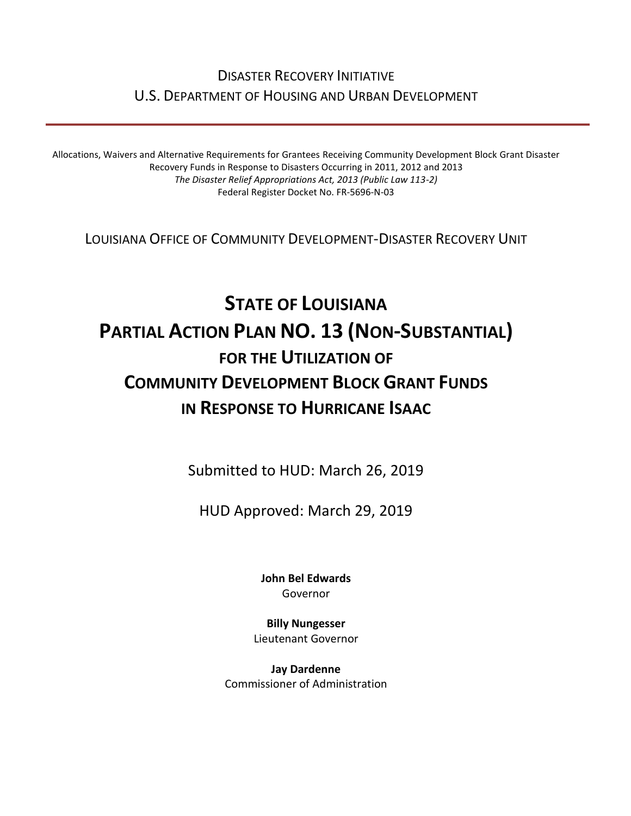# DISASTER RECOVERY INITIATIVE U.S. DEPARTMENT OF HOUSING AND URBAN DEVELOPMENT

Allocations, Waivers and Alternative Requirements for Grantees Receiving Community Development Block Grant Disaster Recovery Funds in Response to Disasters Occurring in 2011, 2012 and 2013 *The Disaster Relief Appropriations Act, 2013 (Public Law 113-2)* Federal Register Docket No. FR-5696-N-03

LOUISIANA OFFICE OF COMMUNITY DEVELOPMENT-DISASTER RECOVERY UNIT

# **STATE OF LOUISIANA PARTIAL ACTION PLAN NO. 13 (NON-SUBSTANTIAL) FOR THE UTILIZATION OF COMMUNITY DEVELOPMENT BLOCK GRANT FUNDS IN RESPONSE TO HURRICANE ISAAC**

Submitted to HUD: March 26, 2019

HUD Approved: March 29, 2019

**[John Bel Edwards](https://www.facebook.com/LouisianaGov/)** Governor

**Billy Nungesser** Lieutenant Governor

**Jay Dardenne** Commissioner of Administration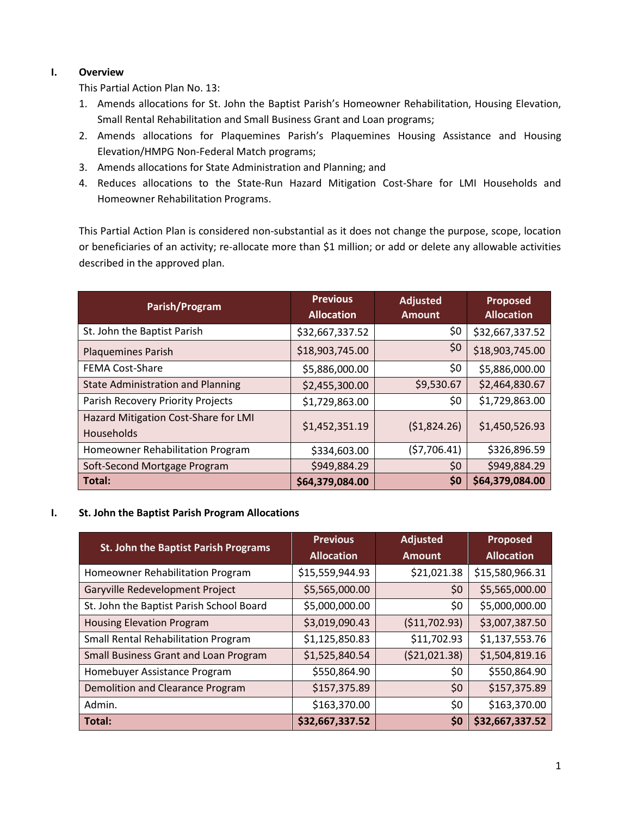### **I. Overview**

This Partial Action Plan No. 13:

- 1. Amends allocations for St. John the Baptist Parish's Homeowner Rehabilitation, Housing Elevation, Small Rental Rehabilitation and Small Business Grant and Loan programs;
- 2. Amends allocations for Plaquemines Parish's Plaquemines Housing Assistance and Housing Elevation/HMPG Non-Federal Match programs;
- 3. Amends allocations for State Administration and Planning; and
- 4. Reduces allocations to the State-Run Hazard Mitigation Cost-Share for LMI Households and Homeowner Rehabilitation Programs.

This Partial Action Plan is considered non-substantial as it does not change the purpose, scope, location or beneficiaries of an activity; re-allocate more than \$1 million; or add or delete any allowable activities described in the approved plan.

| Parish/Program                                     | <b>Previous</b><br><b>Allocation</b> | <b>Adjusted</b><br><b>Amount</b> | <b>Proposed</b><br><b>Allocation</b> |
|----------------------------------------------------|--------------------------------------|----------------------------------|--------------------------------------|
| St. John the Baptist Parish                        | \$32,667,337.52                      | \$0                              | \$32,667,337.52                      |
| <b>Plaquemines Parish</b>                          | \$18,903,745.00                      | \$0                              | \$18,903,745.00                      |
| <b>FEMA Cost-Share</b>                             | \$5,886,000.00                       | \$0                              | \$5,886,000.00                       |
| <b>State Administration and Planning</b>           | \$2,455,300.00                       | \$9,530.67                       | \$2,464,830.67                       |
| Parish Recovery Priority Projects                  | \$1,729,863.00                       | \$0                              | \$1,729,863.00                       |
| Hazard Mitigation Cost-Share for LMI<br>Households | \$1,452,351.19                       | (51,824.26)                      | \$1,450,526.93                       |
| Homeowner Rehabilitation Program                   | \$334,603.00                         | (57,706.41)                      | \$326,896.59                         |
| Soft-Second Mortgage Program                       | \$949,884.29                         | \$0                              | \$949,884.29                         |
| Total:                                             | \$64,379,084.00                      | \$0                              | \$64,379,084.00                      |

#### **I. St. John the Baptist Parish Program Allocations**

| St. John the Baptist Parish Programs       | <b>Previous</b>   | <b>Adjusted</b> | <b>Proposed</b>   |
|--------------------------------------------|-------------------|-----------------|-------------------|
|                                            | <b>Allocation</b> | <b>Amount</b>   | <b>Allocation</b> |
| Homeowner Rehabilitation Program           | \$15,559,944.93   | \$21,021.38     | \$15,580,966.31   |
| Garyville Redevelopment Project            | \$5,565,000.00    | \$0             | \$5,565,000.00    |
| St. John the Baptist Parish School Board   | \$5,000,000.00    | \$0             | \$5,000,000.00    |
| <b>Housing Elevation Program</b>           | \$3,019,090.43    | ( \$11,702.93)  | \$3,007,387.50    |
| <b>Small Rental Rehabilitation Program</b> | \$1,125,850.83    | \$11,702.93     | \$1,137,553.76    |
| Small Business Grant and Loan Program      | \$1,525,840.54    | ( \$21,021.38)  | \$1,504,819.16    |
| Homebuyer Assistance Program               | \$550,864.90      | \$0             | \$550,864.90      |
| Demolition and Clearance Program           | \$157,375.89      | \$0             | \$157,375.89      |
| Admin.                                     | \$163,370.00      | \$0             | \$163,370.00      |
| Total:                                     | \$32,667,337.52   | \$0             | \$32,667,337.52   |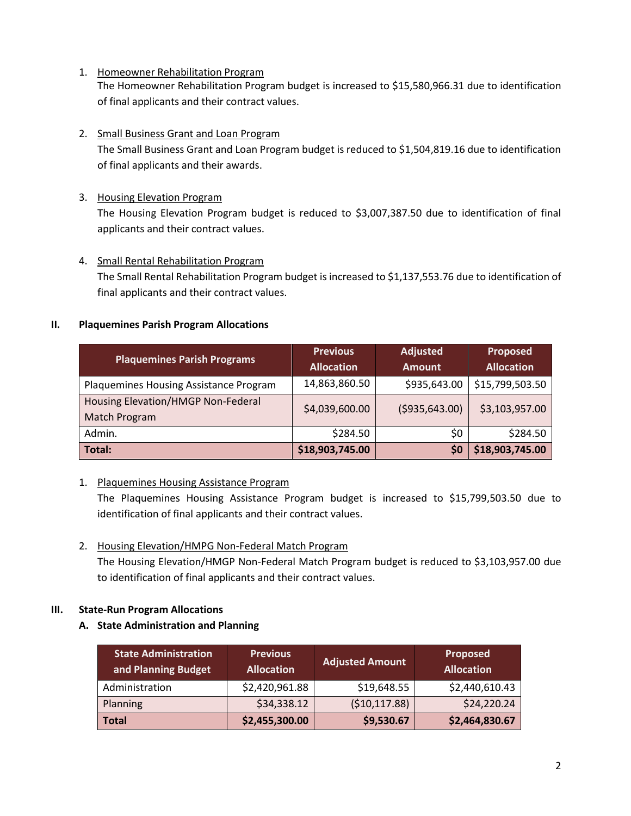- 1. Homeowner Rehabilitation Program The Homeowner Rehabilitation Program budget is increased to \$15,580,966.31 due to identification of final applicants and their contract values.
- 2. Small Business Grant and Loan Program

The Small Business Grant and Loan Program budget is reduced to \$1,504,819.16 due to identification of final applicants and their awards.

3. Housing Elevation Program

The Housing Elevation Program budget is reduced to \$3,007,387.50 due to identification of final applicants and their contract values.

4. Small Rental Rehabilitation Program

The Small Rental Rehabilitation Program budget is increased to \$1,137,553.76 due to identification of final applicants and their contract values.

#### **II. Plaquemines Parish Program Allocations**

| <b>Plaquemines Parish Programs</b>     | <b>Previous</b>   | <b>Adjusted</b>  | <b>Proposed</b>   |
|----------------------------------------|-------------------|------------------|-------------------|
|                                        | <b>Allocation</b> | <b>Amount</b>    | <b>Allocation</b> |
| Plaquemines Housing Assistance Program | 14,863,860.50     | \$935,643.00     | \$15,799,503.50   |
| Housing Elevation/HMGP Non-Federal     | \$4,039,600.00    | ( \$935, 643.00) | \$3,103,957.00    |
| Match Program                          |                   |                  |                   |
| Admin.                                 | \$284.50          | \$0              | \$284.50          |
| Total:                                 | \$18,903,745.00   | \$0              | \$18,903,745.00   |

# 1. Plaquemines Housing Assistance Program

The Plaquemines Housing Assistance Program budget is increased to \$15,799,503.50 due to identification of final applicants and their contract values.

2. Housing Elevation/HMPG Non-Federal Match Program

The Housing Elevation/HMGP Non-Federal Match Program budget is reduced to \$3,103,957.00 due to identification of final applicants and their contract values.

# **III. State-Run Program Allocations**

**A. State Administration and Planning** 

| <b>State Administration</b><br>and Planning Budget | <b>Previous</b><br><b>Allocation</b> | <b>Adjusted Amount</b> | <b>Proposed</b><br><b>Allocation</b> |
|----------------------------------------------------|--------------------------------------|------------------------|--------------------------------------|
| Administration                                     | \$2,420,961.88                       | \$19,648.55            | \$2,440,610.43                       |
| Planning                                           | \$34,338.12                          | (\$10,117.88)          | \$24,220.24                          |
| <b>Total</b>                                       | \$2,455,300.00                       | \$9,530.67             | \$2,464,830.67                       |